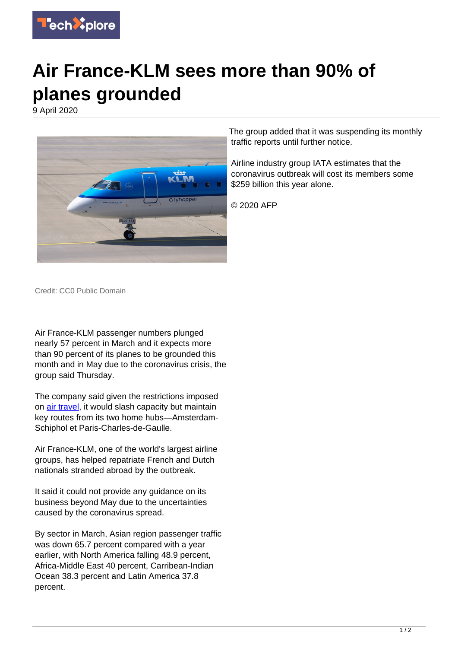

## **Air France-KLM sees more than 90% of planes grounded**

9 April 2020



The group added that it was suspending its monthly traffic reports until further notice.

Airline industry group IATA estimates that the coronavirus outbreak will cost its members some \$259 billion this year alone.

© 2020 AFP

Credit: CC0 Public Domain

Air France-KLM passenger numbers plunged nearly 57 percent in March and it expects more than 90 percent of its planes to be grounded this month and in May due to the coronavirus crisis, the group said Thursday.

The company said given the restrictions imposed on [air travel,](https://techxplore.com/tags/air+travel/) it would slash capacity but maintain key routes from its two home hubs—Amsterdam-Schiphol et Paris-Charles-de-Gaulle.

Air France-KLM, one of the world's largest airline groups, has helped repatriate French and Dutch nationals stranded abroad by the outbreak.

It said it could not provide any guidance on its business beyond May due to the uncertainties caused by the coronavirus spread.

By sector in March, Asian region passenger traffic was down 65.7 percent compared with a year earlier, with North America falling 48.9 percent, Africa-Middle East 40 percent, Carribean-Indian Ocean 38.3 percent and Latin America 37.8 percent.